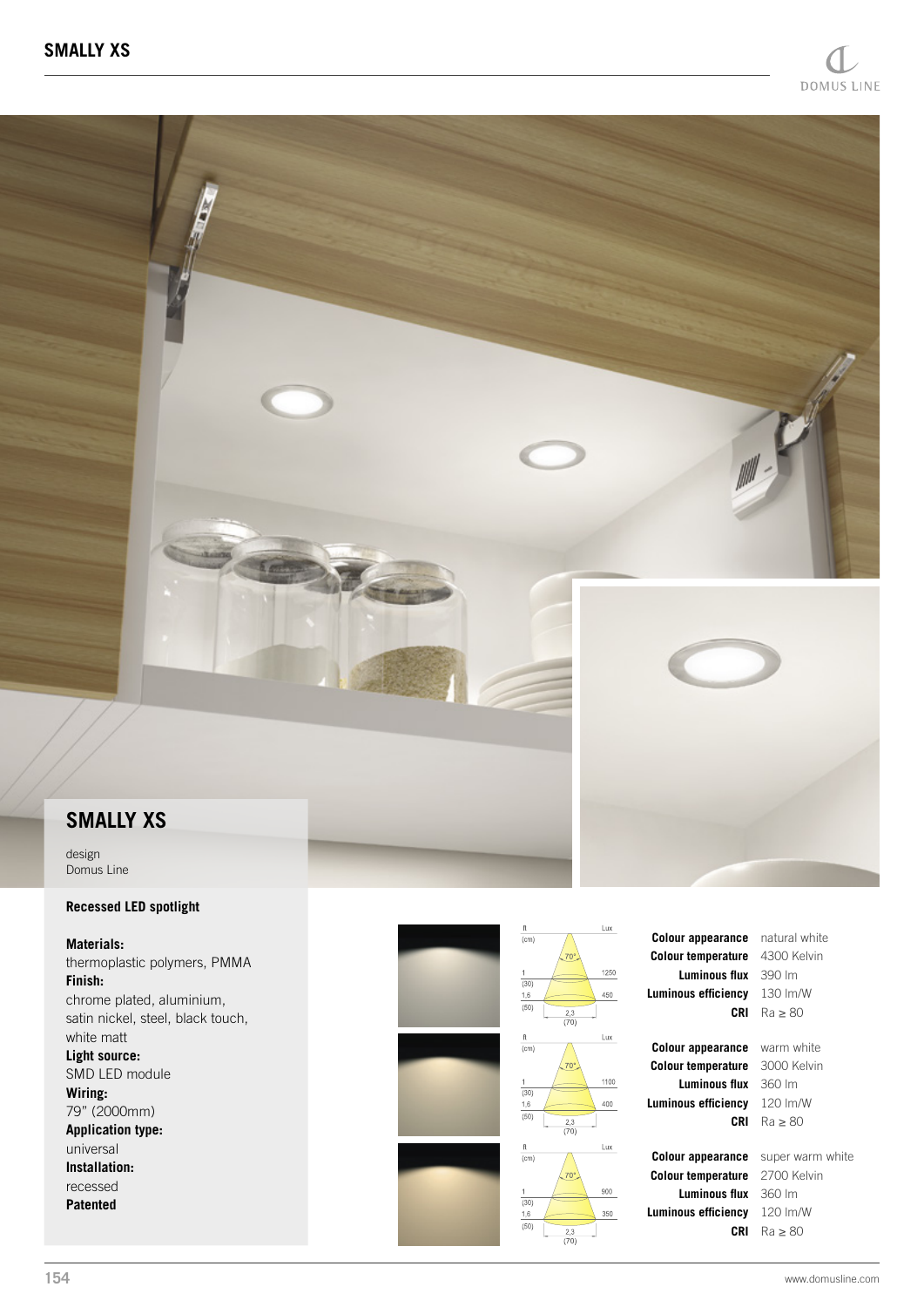

design Domus Line

## **Recessed LED spotlight**

**Materials:** thermoplastic polymers, PMMA **Finish:** chrome plated, aluminium, satin nickel, steel, black touch, white matt **Light source:** SMD LED module **Wiring:** 79" (2000mm) **Application type:** universal **Installation:** recessed **Patented**



**Colour appearance** natural white **Colour temperature** 4300 Kelvin **Luminous flux** 390 lm **Luminous efficiency** 130 lm/W

**Colour appearance** warm white **Colour temperature** 3000 Kelvin **Luminous flux** 360 lm **Luminous efficiency** 120 lm/W

**Colour appearance** super warm white **Colour temperature** 2700 Kelvin **Luminous flux** 360 lm **Luminous efficiency** 120 lm/W

**CRI** Ra ≥ 80

**CRI** Ra ≥ 80

**CRI** Ra ≥ 80